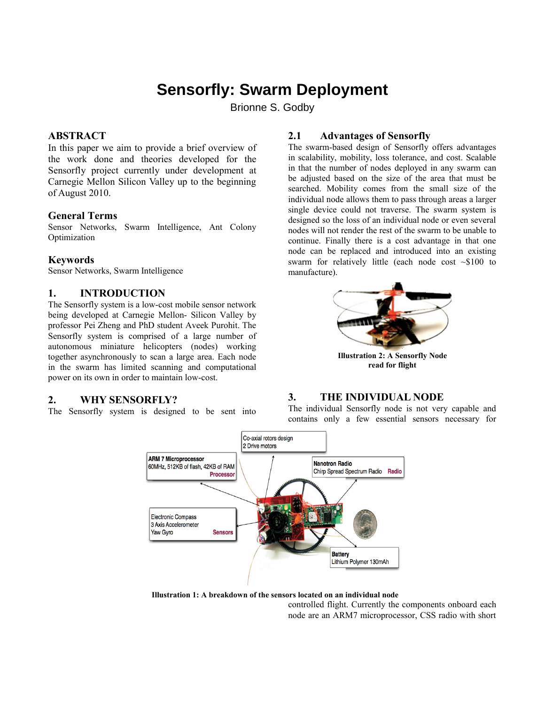# **Sensorfly: Swarm Deployment**

Brionne S. Godby

## **ABSTRACT**

In this paper we aim to provide a brief overview of the work done and theories developed for the Sensorfly project currently under development at Carnegie Mellon Silicon Valley up to the beginning of August 2010.

#### **General Terms**

Sensor Networks, Swarm Intelligence, Ant Colony Optimization

#### **Keywords**

Sensor Networks, Swarm Intelligence

# **1. INTRODUCTION**

The Sensorfly system is a low-cost mobile sensor network being developed at Carnegie Mellon- Silicon Valley by professor Pei Zheng and PhD student Aveek Purohit. The Sensorfly system is comprised of a large number of autonomous miniature helicopters (nodes) working together asynchronously to scan a large area. Each node in the swarm has limited scanning and computational power on its own in order to maintain low-cost.

## **2. WHY SENSORFLY?**

The Sensorfly system is designed to be sent into

## **2.1 Advantages of Sensorfly**

The swarm-based design of Sensorfly offers advantages in scalability, mobility, loss tolerance, and cost. Scalable in that the number of nodes deployed in any swarm can be adjusted based on the size of the area that must be searched. Mobility comes from the small size of the individual node allows them to pass through areas a larger single device could not traverse. The swarm system is designed so the loss of an individual node or even several nodes will not render the rest of the swarm to be unable to continue. Finally there is a cost advantage in that one node can be replaced and introduced into an existing swarm for relatively little (each node cost ~\$100 to manufacture).



**Illustration 2: A Sensorfly Node read for flight**

## **3. THE INDIVIDUAL NODE**

The individual Sensorfly node is not very capable and contains only a few essential sensors necessary for



controlled flight. Currently the components onboard each **Illustration 1: A breakdown of the sensors located on an individual node**

node are an ARM7 microprocessor, CSS radio with short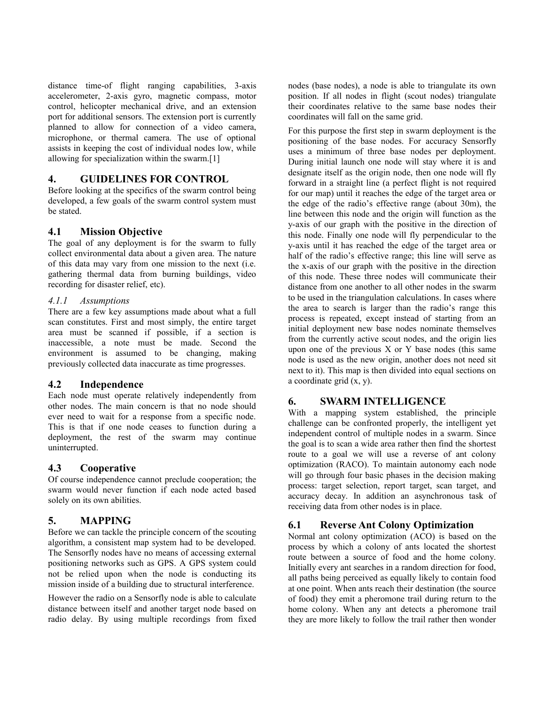distance time-of flight ranging capabilities, 3-axis accelerometer, 2-axis gyro, magnetic compass, motor control, helicopter mechanical drive, and an extension port for additional sensors. The extension port is currently planned to allow for connection of a video camera, microphone, or thermal camera. The use of optional assists in keeping the cost of individual nodes low, while allowing for specialization within the swarm.[1]

## **4. GUIDELINES FOR CONTROL**

Before looking at the specifics of the swarm control being developed, a few goals of the swarm control system must be stated.

# **4.1 Mission Objective**

The goal of any deployment is for the swarm to fully collect environmental data about a given area. The nature of this data may vary from one mission to the next (i.e. gathering thermal data from burning buildings, video recording for disaster relief, etc).

## *4.1.1 Assumptions*

There are a few key assumptions made about what a full scan constitutes. First and most simply, the entire target area must be scanned if possible, if a section is inaccessible, a note must be made. Second the environment is assumed to be changing, making previously collected data inaccurate as time progresses.

# **4.2 Independence**

Each node must operate relatively independently from other nodes. The main concern is that no node should ever need to wait for a response from a specific node. This is that if one node ceases to function during a deployment, the rest of the swarm may continue uninterrupted.

# **4.3 Cooperative**

Of course independence cannot preclude cooperation; the swarm would never function if each node acted based solely on its own abilities.

# **5. MAPPING**

Before we can tackle the principle concern of the scouting algorithm, a consistent map system had to be developed. The Sensorfly nodes have no means of accessing external positioning networks such as GPS. A GPS system could not be relied upon when the node is conducting its mission inside of a building due to structural interference.

However the radio on a Sensorfly node is able to calculate distance between itself and another target node based on radio delay. By using multiple recordings from fixed

nodes (base nodes), a node is able to triangulate its own position. If all nodes in flight (scout nodes) triangulate their coordinates relative to the same base nodes their coordinates will fall on the same grid.

For this purpose the first step in swarm deployment is the positioning of the base nodes. For accuracy Sensorfly uses a minimum of three base nodes per deployment. During initial launch one node will stay where it is and designate itself as the origin node, then one node will fly forward in a straight line (a perfect flight is not required for our map) until it reaches the edge of the target area or the edge of the radio's effective range (about 30m), the line between this node and the origin will function as the y-axis of our graph with the positive in the direction of this node. Finally one node will fly perpendicular to the y-axis until it has reached the edge of the target area or half of the radio's effective range; this line will serve as the x-axis of our graph with the positive in the direction of this node. These three nodes will communicate their distance from one another to all other nodes in the swarm to be used in the triangulation calculations. In cases where the area to search is larger than the radio's range this process is repeated, except instead of starting from an initial deployment new base nodes nominate themselves from the currently active scout nodes, and the origin lies upon one of the previous  $X$  or  $Y$  base nodes (this same node is used as the new origin, another does not need sit next to it). This map is then divided into equal sections on a coordinate grid (x, y).

# **6. SWARM INTELLIGENCE**

With a mapping system established, the principle challenge can be confronted properly, the intelligent yet independent control of multiple nodes in a swarm. Since the goal is to scan a wide area rather then find the shortest route to a goal we will use a reverse of ant colony optimization (RACO). To maintain autonomy each node will go through four basic phases in the decision making process: target selection, report target, scan target, and accuracy decay. In addition an asynchronous task of receiving data from other nodes is in place.

# **6.1 Reverse Ant Colony Optimization**

Normal ant colony optimization (ACO) is based on the process by which a colony of ants located the shortest route between a source of food and the home colony. Initially every ant searches in a random direction for food, all paths being perceived as equally likely to contain food at one point. When ants reach their destination (the source of food) they emit a pheromone trail during return to the home colony. When any ant detects a pheromone trail they are more likely to follow the trail rather then wonder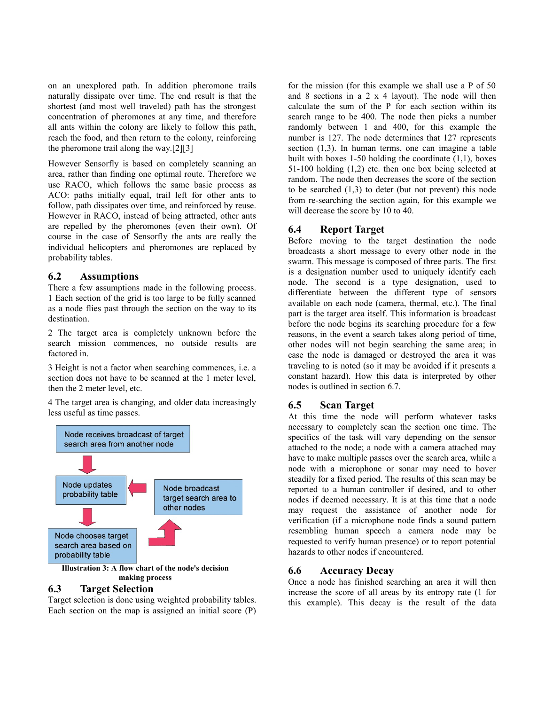on an unexplored path. In addition pheromone trails naturally dissipate over time. The end result is that the shortest (and most well traveled) path has the strongest concentration of pheromones at any time, and therefore all ants within the colony are likely to follow this path, reach the food, and then return to the colony, reinforcing the pheromone trail along the way.[2][3]

However Sensorfly is based on completely scanning an area, rather than finding one optimal route. Therefore we use RACO, which follows the same basic process as ACO: paths initially equal, trail left for other ants to follow, path dissipates over time, and reinforced by reuse. However in RACO, instead of being attracted, other ants are repelled by the pheromones (even their own). Of course in the case of Sensorfly the ants are really the individual helicopters and pheromones are replaced by probability tables.

## **6.2 Assumptions**

There a few assumptions made in the following process. 1 Each section of the grid is too large to be fully scanned as a node flies past through the section on the way to its destination.

2 The target area is completely unknown before the search mission commences, no outside results are factored in.

3 Height is not a factor when searching commences, i.e. a section does not have to be scanned at the 1 meter level, then the 2 meter level, etc.

4 The target area is changing, and older data increasingly less useful as time passes.



**making process**

#### **6.3 Target Selection**

Target selection is done using weighted probability tables. Each section on the map is assigned an initial score (P)

for the mission (for this example we shall use a P of 50 and 8 sections in a 2 x 4 layout). The node will then calculate the sum of the P for each section within its search range to be 400. The node then picks a number randomly between 1 and 400, for this example the number is 127. The node determines that 127 represents section (1,3). In human terms, one can imagine a table built with boxes  $1-50$  holding the coordinate  $(1,1)$ , boxes 51-100 holding (1,2) etc. then one box being selected at random. The node then decreases the score of the section to be searched  $(1,3)$  to deter (but not prevent) this node from re-searching the section again, for this example we will decrease the score by 10 to 40.

# **6.4 Report Target**

Before moving to the target destination the node broadcasts a short message to every other node in the swarm. This message is composed of three parts. The first is a designation number used to uniquely identify each node. The second is a type designation, used to differentiate between the different type of sensors available on each node (camera, thermal, etc.). The final part is the target area itself. This information is broadcast before the node begins its searching procedure for a few reasons, in the event a search takes along period of time, other nodes will not begin searching the same area; in case the node is damaged or destroyed the area it was traveling to is noted (so it may be avoided if it presents a constant hazard). How this data is interpreted by other nodes is outlined in section 6.7.

# **6.5 Scan Target**

At this time the node will perform whatever tasks necessary to completely scan the section one time. The specifics of the task will vary depending on the sensor attached to the node; a node with a camera attached may have to make multiple passes over the search area, while a node with a microphone or sonar may need to hover steadily for a fixed period. The results of this scan may be reported to a human controller if desired, and to other nodes if deemed necessary. It is at this time that a node may request the assistance of another node for verification (if a microphone node finds a sound pattern resembling human speech a camera node may be requested to verify human presence) or to report potential hazards to other nodes if encountered.

# **6.6 Accuracy Decay**

Once a node has finished searching an area it will then increase the score of all areas by its entropy rate (1 for this example). This decay is the result of the data